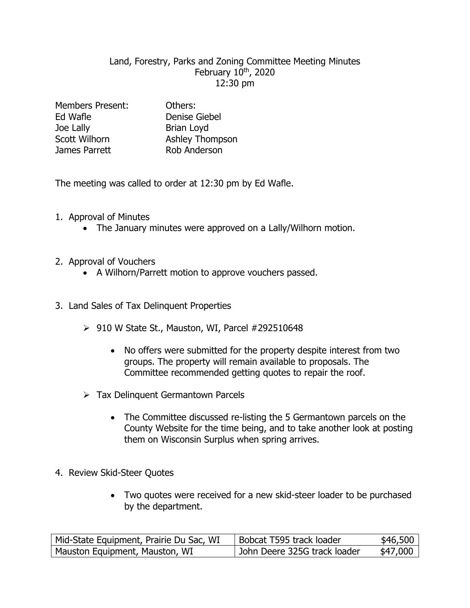## Land, Forestry, Parks and Zoning Committee Meeting Minutes February 10th, 2020 12:30 pm

| <b>Members Present</b> |
|------------------------|
| Ed Wafle               |
| Joe Lally              |
| <b>Scott Wilhorn</b>   |
| James Parrett          |

: Others: Denise Giebel Brian Loyd Ashley Thompson Rob Anderson

The meeting was called to order at 12:30 pm by Ed Wafle.

- 1. Approval of Minutes
	- The January minutes were approved on a Lally/Wilhorn motion.
- 2. Approval of Vouchers
	- A Wilhorn/Parrett motion to approve vouchers passed.
- 3. Land Sales of Tax Delinquent Properties
	- $\geq$  910 W State St., Mauston, WI, Parcel #292510648
		- No offers were submitted for the property despite interest from two groups. The property will remain available to proposals. The Committee recommended getting quotes to repair the roof.
	- $\triangleright$  Tax Delinquent Germantown Parcels
		- The Committee discussed re-listing the 5 Germantown parcels on the County Website for the time being, and to take another look at posting them on Wisconsin Surplus when spring arrives.
- 4. Review Skid-Steer Quotes
	- Two quotes were received for a new skid-steer loader to be purchased by the department.

| Mid-State Equipment, Prairie Du Sac, WI | Bobcat T595 track loader     | \$46,500 |
|-----------------------------------------|------------------------------|----------|
| Mauston Equipment, Mauston, WI          | John Deere 325G track loader | \$47,000 |